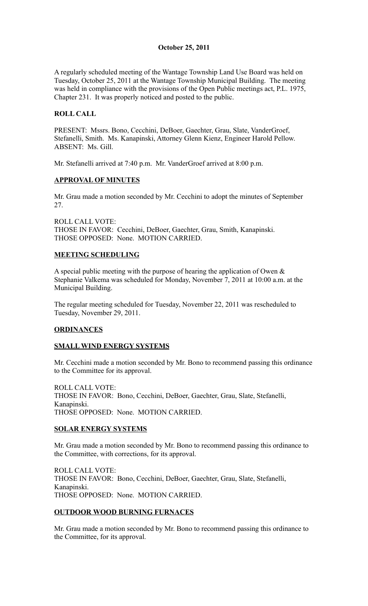## **October 25, 2011**

A regularly scheduled meeting of the Wantage Township Land Use Board was held on Tuesday, October 25, 2011 at the Wantage Township Municipal Building. The meeting was held in compliance with the provisions of the Open Public meetings act, P.L. 1975, Chapter 231. It was properly noticed and posted to the public.

## **ROLL CALL**

PRESENT: Mssrs. Bono, Cecchini, DeBoer, Gaechter, Grau, Slate, VanderGroef, Stefanelli, Smith. Ms. Kanapinski, Attorney Glenn Kienz, Engineer Harold Pellow. ABSENT: Ms. Gill.

Mr. Stefanelli arrived at 7:40 p.m. Mr. VanderGroef arrived at 8:00 p.m.

### **APPROVAL OF MINUTES**

Mr. Grau made a motion seconded by Mr. Cecchini to adopt the minutes of September 27.

ROLL CALL VOTE: THOSE IN FAVOR: Cecchini, DeBoer, Gaechter, Grau, Smith, Kanapinski. THOSE OPPOSED: None. MOTION CARRIED.

## **MEETING SCHEDULING**

A special public meeting with the purpose of hearing the application of Owen & Stephanie Valkema was scheduled for Monday, November 7, 2011 at 10:00 a.m. at the Municipal Building.

The regular meeting scheduled for Tuesday, November 22, 2011 was rescheduled to Tuesday, November 29, 2011.

### **ORDINANCES**

### **SMALL WIND ENERGY SYSTEMS**

Mr. Cecchini made a motion seconded by Mr. Bono to recommend passing this ordinance to the Committee for its approval.

ROLL CALL VOTE: THOSE IN FAVOR: Bono, Cecchini, DeBoer, Gaechter, Grau, Slate, Stefanelli, Kanapinski. THOSE OPPOSED: None. MOTION CARRIED.

### **SOLAR ENERGY SYSTEMS**

Mr. Grau made a motion seconded by Mr. Bono to recommend passing this ordinance to the Committee, with corrections, for its approval.

ROLL CALL VOTE: THOSE IN FAVOR: Bono, Cecchini, DeBoer, Gaechter, Grau, Slate, Stefanelli, Kanapinski. THOSE OPPOSED: None. MOTION CARRIED.

### **OUTDOOR WOOD BURNING FURNACES**

Mr. Grau made a motion seconded by Mr. Bono to recommend passing this ordinance to the Committee, for its approval.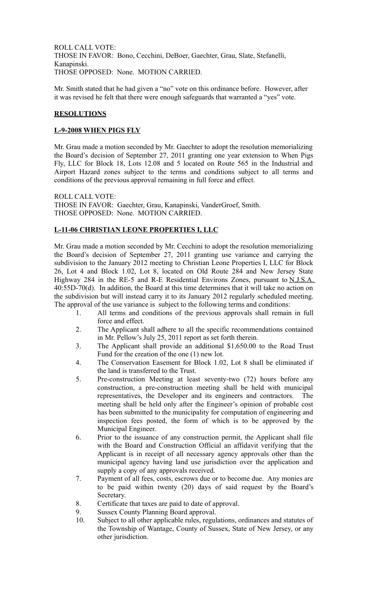ROLL CALL VOTE: THOSE IN FAVOR: Bono, Cecchini, DeBoer, Gaechter, Grau, Slate, Stefanelli, Kanapinski. THOSE OPPOSED: None. MOTION CARRIED.

Mr. Smith stated that he had given a "no" vote on this ordinance before. However, after it was revised he felt that there were enough safeguards that warranted a "yes" vote.

### **RESOLUTIONS**

### **L-9-2008 WHEN PIGS FLY**

Mr. Grau made a motion seconded by Mr. Gaechter to adopt the resolution memorializing the Board's decision of September 27, 2011 granting one year extension to When Pigs Fly, LLC for Block 18, Lots 12.08 and 5 located on Route 565 in the Industrial and Airport Hazard zones subject to the terms and conditions subject to all terms and conditions of the previous approval remaining in full force and effect.

ROLL CALL VOTE: THOSE IN FAVOR: Gaechter, Grau, Kanapinski, VanderGroef, Smith. THOSE OPPOSED: None. MOTION CARRIED.

# **L-11-06 CHRISTIAN LEONE PROPERTIES I, LLC**

Mr. Grau made a motion seconded by Mr. Cecchini to adopt the resolution memorializing the Board's decision of September 27, 2011 granting use variance and carrying the subdivision to the January 2012 meeting to Christian Leone Properties I, LLC for Block 26, Lot 4 and Block 1.02, Lot 8, located on Old Route 284 and New Jersey State Highway 284 in the RE-5 and R-E Residential Environs Zones, pursuant to N.J.S.A. 40:55D-70(d). In addition, the Board at this time determines that it will take no action on the subdivision but will instead carry it to its January 2012 regularly scheduled meeting. The approval of the use variance is subject to the following terms and conditions:

- 1. All terms and conditions of the previous approvals shall remain in full force and effect.
- 2. The Applicant shall adhere to all the specific recommendations contained in Mr. Pellow's July 25, 2011 report as set forth therein.
- 3. The Applicant shall provide an additional \$1,650.00 to the Road Trust Fund for the creation of the one (1) new lot.
- 4. The Conservation Easement for Block 1.02, Lot 8 shall be eliminated if the land is transferred to the Trust.
- 5. Pre-construction Meeting at least seventy-two (72) hours before any construction, a pre-construction meeting shall be held with municipal representatives, the Developer and its engineers and contractors. The meeting shall be held only after the Engineer's opinion of probable cost has been submitted to the municipality for computation of engineering and inspection fees posted, the form of which is to be approved by the Municipal Engineer.
- 6. Prior to the issuance of any construction permit, the Applicant shall file with the Board and Construction Official an affidavit verifying that the Applicant is in receipt of all necessary agency approvals other than the municipal agency having land use jurisdiction over the application and supply a copy of any approvals received.
- 7. Payment of all fees, costs, escrows due or to become due. Any monies are to be paid within twenty (20) days of said request by the Board's Secretary.
- 8. Certificate that taxes are paid to date of approval.
- 9. Sussex County Planning Board approval.
- 10. Subject to all other applicable rules, regulations, ordinances and statutes of the Township of Wantage, County of Sussex, State of New Jersey, or any other jurisdiction.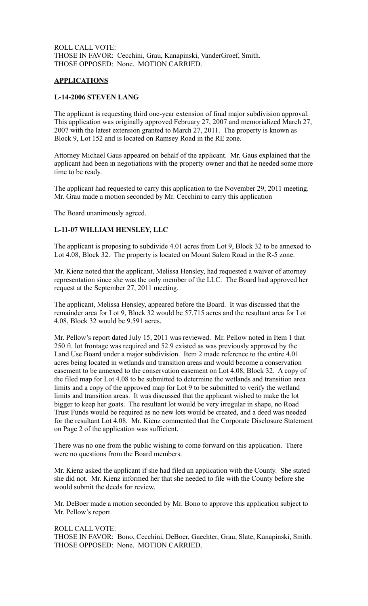ROLL CALL VOTE: THOSE IN FAVOR: Cecchini, Grau, Kanapinski, VanderGroef, Smith. THOSE OPPOSED: None. MOTION CARRIED.

#### **APPLICATIONS**

#### **L-14-2006 STEVEN LANG**

The applicant is requesting third one-year extension of final major subdivision approval. This application was originally approved February 27, 2007 and memorialized March 27, 2007 with the latest extension granted to March 27, 2011. The property is known as Block 9, Lot 152 and is located on Ramsey Road in the RE zone.

Attorney Michael Gaus appeared on behalf of the applicant. Mr. Gaus explained that the applicant had been in negotiations with the property owner and that he needed some more time to be ready.

The applicant had requested to carry this application to the November 29, 2011 meeting. Mr. Grau made a motion seconded by Mr. Cecchini to carry this application

The Board unanimously agreed.

#### **L-11-07 WILLIAM HENSLEY, LLC**

The applicant is proposing to subdivide 4.01 acres from Lot 9, Block 32 to be annexed to Lot 4.08, Block 32. The property is located on Mount Salem Road in the R-5 zone.

Mr. Kienz noted that the applicant, Melissa Hensley, had requested a waiver of attorney representation since she was the only member of the LLC. The Board had approved her request at the September 27, 2011 meeting.

The applicant, Melissa Hensley, appeared before the Board. It was discussed that the remainder area for Lot 9, Block 32 would be 57.715 acres and the resultant area for Lot 4.08, Block 32 would be 9.591 acres.

Mr. Pellow's report dated July 15, 2011 was reviewed. Mr. Pellow noted in Item 1 that 250 ft. lot frontage was required and 52.9 existed as was previously approved by the Land Use Board under a major subdivision. Item 2 made reference to the entire 4.01 acres being located in wetlands and transition areas and would become a conservation easement to be annexed to the conservation easement on Lot 4.08, Block 32. A copy of the filed map for Lot 4.08 to be submitted to determine the wetlands and transition area limits and a copy of the approved map for Lot 9 to be submitted to verify the wetland limits and transition areas. It was discussed that the applicant wished to make the lot bigger to keep her goats. The resultant lot would be very irregular in shape, no Road Trust Funds would be required as no new lots would be created, and a deed was needed for the resultant Lot 4.08. Mr. Kienz commented that the Corporate Disclosure Statement on Page 2 of the application was sufficient.

There was no one from the public wishing to come forward on this application. There were no questions from the Board members.

Mr. Kienz asked the applicant if she had filed an application with the County. She stated she did not. Mr. Kienz informed her that she needed to file with the County before she would submit the deeds for review.

Mr. DeBoer made a motion seconded by Mr. Bono to approve this application subject to Mr. Pellow's report.

ROLL CALL VOTE: THOSE IN FAVOR: Bono, Cecchini, DeBoer, Gaechter, Grau, Slate, Kanapinski, Smith. THOSE OPPOSED: None. MOTION CARRIED.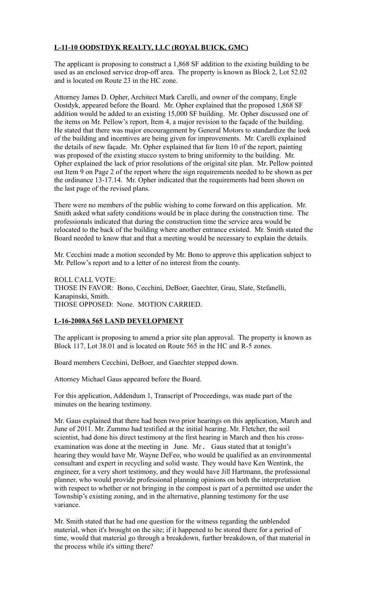# **L-11-10 OODSTDYK REALTY, LLC (ROYAL BUICK, GMC)**

The applicant is proposing to construct a 1,868 SF addition to the existing building to be used as an enclosed service drop-off area. The property is known as Block 2, Lot 52.02 and is located on Route 23 in the HC zone.

Attorney James D. Opher, Architect Mark Carelli, and owner of the company, Engle Oostdyk, appeared before the Board. Mr. Opher explained that the proposed 1,868 SF addition would be added to an existing 15,000 SF building. Mr. Opher discussed one of the items on Mr. Pellow's report, Item 4, a major revision to the façade of the building. He stated that there was major encouragement by General Motors to standardize the look of the building and incentives are being given for improvements. Mr. Carelli explained the details of new façade. Mr. Opher explained that for Item 10 of the report, painting was proposed of the existing stucco system to bring uniformity to the building. Mr. Opher explained the lack of prior resolutions of the original site plan. Mr. Pellow pointed out Item 9 on Page 2 of the report where the sign requirements needed to be shown as per the ordinance 13-17.14. Mr. Opher indicated that the requirements had been shown on the last page of the revised plans.

There were no members of the public wishing to come forward on this application. Mr. Smith asked what safety conditions would be in place during the construction time. The professionals indicated that during the construction time the service area would be relocated to the back of the building where another entrance existed. Mr. Smith stated the Board needed to know that and that a meeting would be necessary to explain the details.

Mr. Cecchini made a motion seconded by Mr. Bono to approve this application subject to Mr. Pellow's report and to a letter of no interest from the county.

ROLL CALL VOTE: THOSE IN FAVOR: Bono, Cecchini, DeBoer, Gaechter, Grau, Slate, Stefanelli, Kanapinski, Smith. THOSE OPPOSED: None. MOTION CARRIED.

# **L-16-2008A 565 LAND DEVELOPMENT**

The applicant is proposing to amend a prior site plan approval. The property is known as Block 117, Lot 38.01 and is located on Route 565 in the HC and R-5 zones.

Board members Cecchini, DeBoer, and Gaechter stepped down.

Attorney Michael Gaus appeared before the Board.

For this application, Addendum 1, Transcript of Proceedings, was made part of the minutes on the hearing testimony.

Mr. Gaus explained that there had been two prior hearings on this application, March and June of 2011. Mr. Zummo had testified at the initial hearing. Mr. Fletcher, the soil scientist, had done his direct testimony at the first hearing in March and then his crossexamination was done at the meeting in June. Mr. Gaus stated that at tonight's hearing they would have Mr. Wayne DeFeo, who would be qualified as an environmental consultant and expert in recycling and solid waste. They would have Ken Wentink, the engineer, for a very short testimony, and they would have Jill Hartmann, the professional planner, who would provide professional planning opinions on both the interpretation with respect to whether or not bringing in the compost is part of a permitted use under the Township's existing zoning, and in the alternative, planning testimony for the use variance.

Mr. Smith stated that he had one question for the witness regarding the unblended material, when it's brought on the site; if it happened to be stored there for a period of time, would that material go through a breakdown, further breakdown, of that material in the process while it's sitting there?